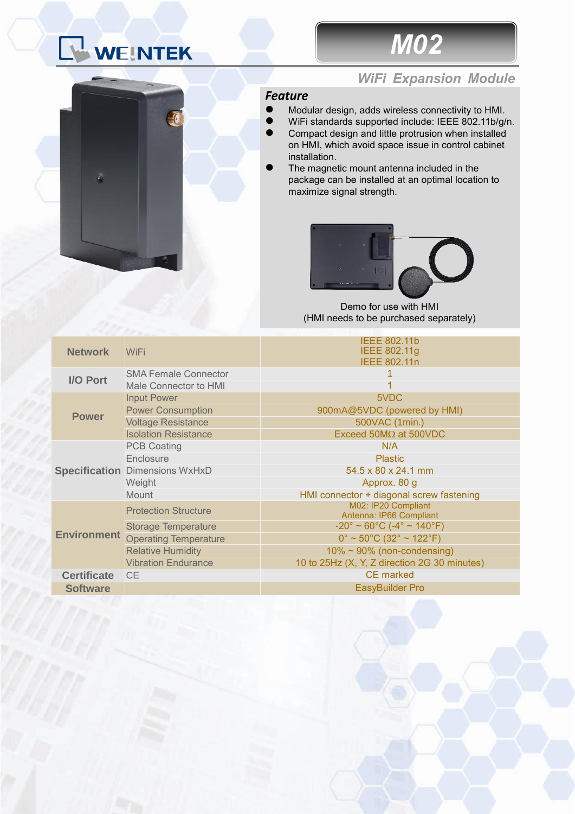## WEINTEK



## *WiFi Expansion Module*

## *Feature*

- ⚫ Modular design, adds wireless connectivity to HMI.
- WiFi standards supported include: IEEE 802.11b/g/n.
- ⚫ Compact design and little protrusion when installed on HMI, which avoid space issue in control cabinet installation.
- ⚫ The magnetic mount antenna included in the package can be installed at an optimal location to maximize signal strength.



Demo for use with HMI (HMI needs to be purchased separately)

| <b>Network</b>     | WiFi                                  | <b>IEEE 802.11b</b><br>IEEE 802.11g<br><b>IEEE 802.11n</b>               |
|--------------------|---------------------------------------|--------------------------------------------------------------------------|
| I/O Port           | <b>SMA Female Connector</b>           |                                                                          |
|                    | Male Connector to HMI                 |                                                                          |
| <b>Power</b>       | <b>Input Power</b>                    | 5VDC                                                                     |
|                    | <b>Power Consumption</b>              | 900mA@5VDC (powered by HMI)                                              |
|                    | <b>Voltage Resistance</b>             | 500VAC (1min.)                                                           |
|                    | <b>Isolation Resistance</b>           | Exceed $50M\Omega$ at $500VDC$                                           |
|                    | <b>PCB Coating</b>                    | N/A                                                                      |
|                    | Enclosure                             | <b>Plastic</b>                                                           |
|                    | <b>Specification Dimensions WxHxD</b> | 54.5 x 80 x 24.1 mm                                                      |
|                    | Weight                                | Approx. 80 g                                                             |
|                    | <b>Mount</b>                          | HMI connector + diagonal screw fastening                                 |
| <b>Environment</b> | <b>Protection Structure</b>           | M02: IP20 Compliant<br>Antenna: IP66 Compliant                           |
|                    | <b>Storage Temperature</b>            | $-20^{\circ} \approx 60^{\circ}$ C ( $-4^{\circ} \approx 140^{\circ}$ F) |
|                    | <b>Operating Temperature</b>          | $0^{\circ}$ ~ 50°C (32° ~ 122°F)                                         |
|                    | <b>Relative Humidity</b>              | $10\% \sim 90\%$ (non-condensing)                                        |
|                    | <b>Vibration Endurance</b>            | 10 to 25Hz (X, Y, Z direction 2G 30 minutes)                             |
| <b>Certificate</b> | <b>CE</b>                             | <b>CE</b> marked                                                         |
| <b>Software</b>    |                                       | EasyBuilder Pro                                                          |
|                    |                                       |                                                                          |